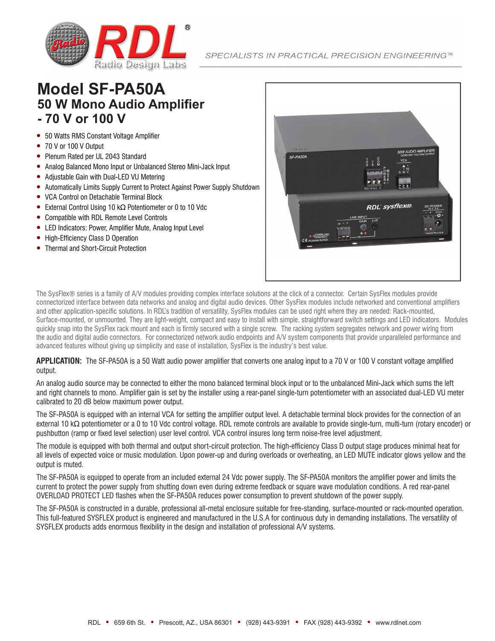

## **Model SF-PA50A 50 W Mono Audio Amplifier - 70 V or 100 V**

- 50 Watts RMS Constant Voltage Amplifier
- 70 V or 100 V Output
- Plenum Rated per UL 2043 Standard
- y Analog Balanced Mono Input or Unbalanced Stereo Mini-Jack Input
- Adjustable Gain with Dual-LED VU Metering
- Automatically Limits Supply Current to Protect Against Power Supply Shutdown
- y VCA Control on Detachable Terminal Block
- External Control Using 10 kΩ Potentiometer or 0 to 10 Vdc
- Compatible with RDL Remote Level Controls
- LED Indicators: Power, Amplifier Mute, Analog Input Level
- High-Efficiency Class D Operation
- **Thermal and Short-Circuit Protection**



The SysFlex® series is a family of A/V modules providing complex interface solutions at the click of a connector. Certain SysFlex modules provide connectorized interface between data networks and analog and digital audio devices. Other SysFlex modules include networked and conventional amplifiers and other application-specific solutions. In RDL's tradition of versatility, SysFlex modules can be used right where they are needed: Rack-mounted, Surface-mounted, or unmounted. They are light-weight, compact and easy to install with simple, straightforward switch settings and LED indicators. Modules quickly snap into the SysFlex rack mount and each is firmly secured with a single screw. The racking system segregates network and power wiring from the audio and digital audio connectors. For connectorized network audio endpoints and A/V system components that provide unparalleled performance and advanced features without giving up simplicity and ease of installation, SysFlex is the industry's best value.

## **APPLICATION:** The SF-PA50A is a 50 Watt audio power amplifier that converts one analog input to a 70 V or 100 V constant voltage amplified output.

An analog audio source may be connected to either the mono balanced terminal block input or to the unbalanced Mini-Jack which sums the left and right channels to mono. Amplifier gain is set by the installer using a rear-panel single-turn potentiometer with an associated dual-LED VU meter calibrated to 20 dB below maximum power output.

The SF-PA50A is equipped with an internal VCA for setting the amplifier output level. A detachable terminal block provides for the connection of an external 10 kΩ potentiometer or a 0 to 10 Vdc control voltage. RDL remote controls are available to provide single-turn, multi-turn (rotary encoder) or pushbutton (ramp or fixed level selection) user level control. VCA control insures long term noise-free level adjustment.

The module is equipped with both thermal and output short-circuit protection. The high-efficiency Class D output stage produces minimal heat for all levels of expected voice or music modulation. Upon power-up and during overloads or overheating, an LED MUTE indicator glows yellow and the output is muted.

The SF-PA50A is equipped to operate from an included external 24 Vdc power supply. The SF-PA50A monitors the amplifier power and limits the current to protect the power supply from shutting down even during extreme feedback or square wave modulation conditions. A red rear-panel OVERLOAD PROTECT LED flashes when the SF-PA50A reduces power consumption to prevent shutdown of the power supply.

The SF-PA50A is constructed in a durable, professional all-metal enclosure suitable for free-standing, surface-mounted or rack-mounted operation. This full-featured SYSFLEX product is engineered and manufactured in the U.S.A for continuous duty in demanding installations. The versatility of SYSFLEX products adds enormous flexibility in the design and installation of professional A/V systems.